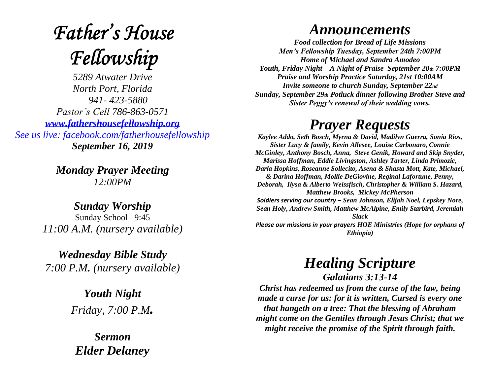# **Father's House** Fellowship

*5289 Atwater Drive North Port, Florida 941- 423-5880 Pastor's Cell 786-863-0571 [www.fathershousefellowship.org](http://www.fathershousefellowship.org/) See us live: facebook.com/fatherhousefellowship September 16, 2019*

> *Monday Prayer Meeting 12:00PM*

*Sunday Worship* Sunday School 9:45 *11:00 A.M. (nursery available)*

*Wednesday Bible Study 7:00 P.M. (nursery available)*

> *Youth Night Friday, 7:00 P.M.*

*Sermon Elder Delaney*

## *Announcements*

*Food collection for Bread of Life Missions Men's Fellowship Tuesday, September 24th 7:00PM Home of Michael and Sandra Amodeo Youth, Friday Night – A Night of Praise September 20th 7:00PM Praise and Worship Practice Saturday, 21st 10:00AM Invite someone to church Sunday, September 22nd Sunday, September 29th Potluck dinner following Brother Steve and Sister Peggy's renewal of their wedding vows.*

## *Prayer Requests*

*Kaylee Addo, Seth Bosch, Myrna & David, Madilyn Guerra, Sonia Rios, Sister Lucy & family, Kevin Allesee, Louise Carbonaro, Connie McGinley, Anthony Bosch, Anna, Steve Genik, Howard and Skip Snyder, Marissa Hoffman, Eddie Livingston, Ashley Tarter, Linda Primozic, Darla Hopkins, Roseanne Sollecito, Asena & Shasta Mott, Kate, Michael, & Darina Hoffman, Mollie DeGiovine, Reginal Lafortune, Penny, Deborah, Ilysa & Alberto Weissfisch, Christopher & William S. Hazard, Matthew Brooks, Mickey McPherson Soldiers serving our country – Sean Johnson, Elijah Noel, Lepskey Nore, Sean Holy, Andrew Smith, Matthew McAlpine, Emily Starbird, Jeremiah Slack Please our missions in your prayers HOE Ministries (Hope for orphans of Ethiopia)*

### *Healing Scripture Galatians 3:13-14*

*Christ has redeemed us from the curse of the law, being made a curse for us: for it is written, Cursed is every one that hangeth on a tree: That the blessing of Abraham might come on the Gentiles through Jesus Christ; that we might receive the promise of the Spirit through faith.*